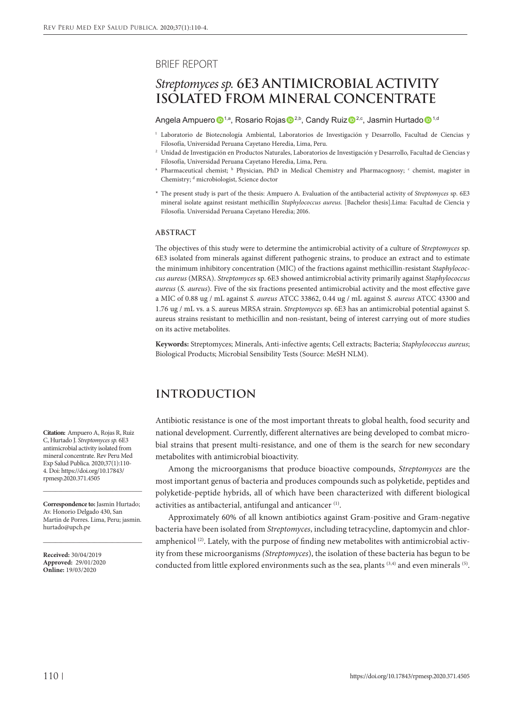#### BRIEF REPORT

# *Streptomyces sp.* **6E3 ANTIMICROBIAL ACTIVITY ISOLATED FROM MINERAL CONCENTRATE**

Angela Ampuero <sup>1,a</sup>, Rosario Rojas <sup>1,b</sup>, Candy Ruiz <sup>1,c</sup>, Jasmin Hurtado <sup>1,d</sup>

- <sup>1</sup> Laboratorio de Biotecnología Ambiental, Laboratorios de Investigación y Desarrollo, Facultad de Ciencias y Filosofía, Universidad Peruana Cayetano Heredia, Lima, Peru.
- <sup>2</sup> Unidad de Investigación en Productos Naturales, Laboratorios de Investigación y Desarrollo, Facultad de Ciencias y Filosofía, Universidad Peruana Cayetano Heredia, Lima, Peru.
- <sup>a</sup> Pharmaceutical chemist; <sup>b</sup> Physician, PhD in Medical Chemistry and Pharmacognosy; <sup>c</sup> chemist, magister in Chemistry; <sup>d</sup> microbiologist, Science doctor
- \* The present study is part of the thesis: Ampuero A. Evaluation of the antibacterial activity of *Streptomyces* sp. 6E3 mineral isolate against resistant methicillin *Staphylococcus aureus.* [Bachelor thesis].Lima: Facultad de Ciencia y Filosofía. Universidad Peruana Cayetano Heredia; 2016.

#### **ABSTRACT**

The objectives of this study were to determine the antimicrobial activity of a culture of *Streptomyces* sp. 6E3 isolated from minerals against different pathogenic strains, to produce an extract and to estimate the minimum inhibitory concentration (MIC) of the fractions against methicillin-resistant *Staphylococcus aureus* (MRSA). *Streptomyces* sp. 6E3 showed antimicrobial activity primarily against *Staphylococcus aureus* (*S. aureus*). Five of the six fractions presented antimicrobial activity and the most effective gave a MIC of 0.88 ug / mL against *S. aureus* ATCC 33862, 0.44 ug / mL against *S. aureus* ATCC 43300 and 1.76 ug / mL vs. a S. aureus MRSA strain. *Streptomyces* sp. 6E3 has an antimicrobial potential against S. aureus strains resistant to methicillin and non-resistant, being of interest carrying out of more studies on its active metabolites.

**Keywords:** Streptomyces; Minerals, Anti-infective agents; Cell extracts; Bacteria; *Staphylococcus aureus*; Biological Products; Microbial Sensibility Tests (Source: MeSH NLM).

# **INTRODUCTION**

Antibiotic resistance is one of the most important threats to global health, food security and national development. Currently, different alternatives are being developed to combat microbial strains that present multi-resistance, and one of them is the search for new secondary metabolites with antimicrobial bioactivity.

Among the microorganisms that produce bioactive compounds, *Streptomyces* are the most important genus of bacteria and produces compounds such as polyketide, peptides and polyketide-peptide hybrids, all of which have been characterized with different biological activities as antibacterial, antifungal and anticancer (1).

Approximately 60% of all known antibiotics against Gram-positive and Gram-negative bacteria have been isolated from *Streptomyces*, including tetracycline, daptomycin and chloramphenicol  $(2)$ . Lately, with the purpose of finding new metabolites with antimicrobial activity from these microorganisms *(Streptomyces*), the isolation of these bacteria has begun to be conducted from little explored environments such as the sea, plants  $(3,4)$  and even minerals  $(5)$ .

**Citation:** Ampuero A, Rojas R, Ruiz C, Hurtado J. *Streptomyces sp.* 6E3 antimicrobial activity isolated from mineral concentrate. Rev Peru Med Exp Salud Publica. 2020;37(1):110- 4. Doi: https://doi.org/10.17843/ rpmesp.2020.371.4505

**Correspondence to:** Jasmin Hurtado; Av. Honorio Delgado 430, San Martin de Porres. Lima, Peru; jasmin. hurtado@upch.pe

\_\_\_\_\_\_\_\_\_\_\_\_\_\_\_\_\_\_\_\_\_\_\_\_\_\_\_\_\_\_\_\_\_

\_\_\_\_\_\_\_\_\_\_\_\_\_\_\_\_\_\_\_\_\_\_\_\_\_\_\_\_\_\_\_\_\_

**Received:** 30/04/2019 **Approved:** 29/01/2020 **Online:** 19/03/2020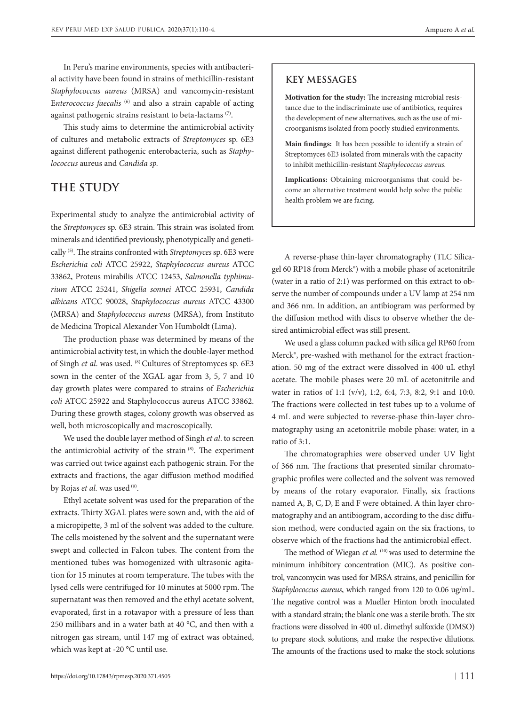In Peru's marine environments, species with antibacterial activity have been found in strains of methicillin-resistant *Staphylococcus aureus* (MRSA) and vancomycin-resistant E*nterococcus faecalis* (6) and also a strain capable of acting against pathogenic strains resistant to beta-lactams (7).

This study aims to determine the antimicrobial activity of cultures and metabolic extracts of *Streptomyces* sp. 6E3 against different pathogenic enterobacteria, such as *Staphylococcus* aureus and *Candida sp.*

## **THE STUDY**

Experimental study to analyze the antimicrobial activity of the *Streptomyces* sp. 6E3 strain. This strain was isolated from minerals and identified previously, phenotypically and genetically (5). The strains confronted with *Streptomyces* sp. 6E3 were *Escherichia coli* ATCC 25922, *Staphylococcus aureus* ATCC 33862, Proteus mirabilis ATCC 12453, *Salmonella typhimurium* ATCC 25241, *Shigella sonnei* ATCC 25931, *Candida albicans* ATCC 90028, *Staphylococcus aureus* ATCC 43300 (MRSA) and *Staphylococcus aureus* (MRSA), from Instituto de Medicina Tropical Alexander Von Humboldt (Lima).

The production phase was determined by means of the antimicrobial activity test, in which the double-layer method of Singh *et al*. was used. (8) Cultures of Streptomyces sp. 6E3 sown in the center of the XGAL agar from 3, 5, 7 and 10 day growth plates were compared to strains of *Escherichia coli* ATCC 25922 and Staphylococcus aureus ATCC 33862. During these growth stages, colony growth was observed as well, both microscopically and macroscopically.

We used the double layer method of Singh *et al*. to screen the antimicrobial activity of the strain (8). The experiment was carried out twice against each pathogenic strain. For the extracts and fractions, the agar diffusion method modified by Rojas et al. was used <sup>(9)</sup>.

Ethyl acetate solvent was used for the preparation of the extracts. Thirty XGAL plates were sown and, with the aid of a micropipette, 3 ml of the solvent was added to the culture. The cells moistened by the solvent and the supernatant were swept and collected in Falcon tubes. The content from the mentioned tubes was homogenized with ultrasonic agitation for 15 minutes at room temperature. The tubes with the lysed cells were centrifuged for 10 minutes at 5000 rpm. The supernatant was then removed and the ethyl acetate solvent, evaporated, first in a rotavapor with a pressure of less than 250 millibars and in a water bath at 40 °C, and then with a nitrogen gas stream, until 147 mg of extract was obtained, which was kept at -20 °C until use.

### **KEY MESSAGES**

**Motivation for the study:** The increasing microbial resistance due to the indiscriminate use of antibiotics, requires the development of new alternatives, such as the use of microorganisms isolated from poorly studied environments.

**Main findings:** It has been possible to identify a strain of Streptomyces 6E3 isolated from minerals with the capacity to inhibit methicillin-resistant *Staphylococcus aureus.*

**Implications:** Obtaining microorganisms that could become an alternative treatment would help solve the public health problem we are facing.

A reverse-phase thin-layer chromatography (TLC Silicagel 60 RP18 from Merck®) with a mobile phase of acetonitrile (water in a ratio of 2:1) was performed on this extract to observe the number of compounds under a UV lamp at 254 nm and 366 nm. In addition, an antibiogram was performed by the diffusion method with discs to observe whether the desired antimicrobial effect was still present.

We used a glass column packed with silica gel RP60 from Merck®, pre-washed with methanol for the extract fractionation. 50 mg of the extract were dissolved in 400 uL ethyl acetate. The mobile phases were 20 mL of acetonitrile and water in ratios of 1:1 (v/v), 1:2, 6:4, 7:3, 8:2, 9:1 and 10:0. The fractions were collected in test tubes up to a volume of 4 mL and were subjected to reverse-phase thin-layer chromatography using an acetonitrile mobile phase: water, in a ratio of 3:1.

The chromatographies were observed under UV light of 366 nm. The fractions that presented similar chromatographic profiles were collected and the solvent was removed by means of the rotary evaporator. Finally, six fractions named A, B, C, D, E and F were obtained. A thin layer chromatography and an antibiogram, according to the disc diffusion method, were conducted again on the six fractions, to observe which of the fractions had the antimicrobial effect.

The method of Wiegan et al. <sup>(10)</sup> was used to determine the minimum inhibitory concentration (MIC). As positive control, vancomycin was used for MRSA strains, and penicillin for *Staphylococcus aureus*, which ranged from 120 to 0.06 ug/mL. The negative control was a Mueller Hinton broth inoculated with a standard strain; the blank one was a sterile broth. The six fractions were dissolved in 400 uL dimethyl sulfoxide (DMSO) to prepare stock solutions, and make the respective dilutions. The amounts of the fractions used to make the stock solutions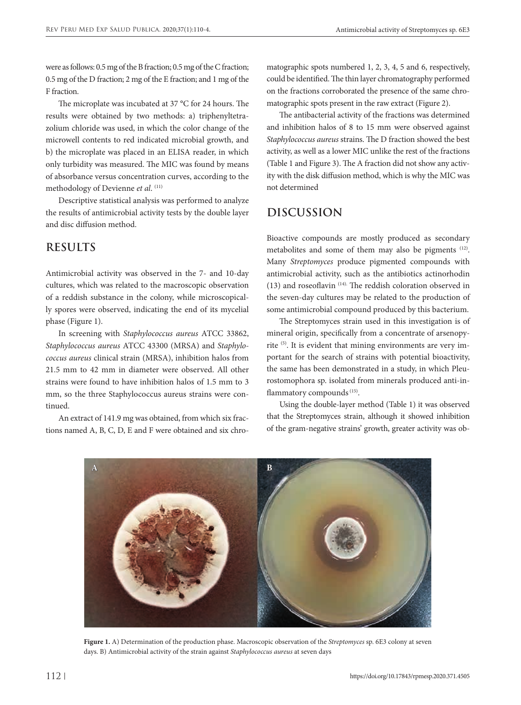were as follows: 0.5 mg of the B fraction; 0.5 mg of the C fraction; 0.5 mg of the D fraction; 2 mg of the E fraction; and 1 mg of the F fraction.

The microplate was incubated at 37 °C for 24 hours. The results were obtained by two methods: a) triphenyltetrazolium chloride was used, in which the color change of the microwell contents to red indicated microbial growth, and b) the microplate was placed in an ELISA reader, in which only turbidity was measured. The MIC was found by means of absorbance versus concentration curves, according to the methodology of Devienne *et al*. (11)

Descriptive statistical analysis was performed to analyze the results of antimicrobial activity tests by the double layer and disc diffusion method.

# **RESULTS**

Antimicrobial activity was observed in the 7- and 10-day cultures, which was related to the macroscopic observation of a reddish substance in the colony, while microscopically spores were observed, indicating the end of its mycelial phase (Figure 1).

In screening with *Staphylococcus aureus* ATCC 33862, *Staphylococcus aureus* ATCC 43300 (MRSA) and *Staphylococcus aureus* clinical strain (MRSA), inhibition halos from 21.5 mm to 42 mm in diameter were observed. All other strains were found to have inhibition halos of 1.5 mm to 3 mm, so the three Staphylococcus aureus strains were continued.

An extract of 141.9 mg was obtained, from which six fractions named A, B, C, D, E and F were obtained and six chromatographic spots numbered 1, 2, 3, 4, 5 and 6, respectively, could be identified. The thin layer chromatography performed on the fractions corroborated the presence of the same chromatographic spots present in the raw extract (Figure 2).

The antibacterial activity of the fractions was determined and inhibition halos of 8 to 15 mm were observed against *Staphylococcus aureus* strains. The D fraction showed the best activity, as well as a lower MIC unlike the rest of the fractions (Table 1 and Figure 3). The A fraction did not show any activity with the disk diffusion method, which is why the MIC was not determined

# **DISCUSSION**

Bioactive compounds are mostly produced as secondary metabolites and some of them may also be pigments (12). Many *Streptomyces* produce pigmented compounds with antimicrobial activity, such as the antibiotics actinorhodin (13) and roseoflavin (14). The reddish coloration observed in the seven-day cultures may be related to the production of some antimicrobial compound produced by this bacterium.

The Streptomyces strain used in this investigation is of mineral origin, specifically from a concentrate of arsenopyrite (5). It is evident that mining environments are very important for the search of strains with potential bioactivity, the same has been demonstrated in a study, in which Pleurostomophora sp. isolated from minerals produced anti-inflammatory compounds<sup>(15)</sup>.

Using the double-layer method (Table 1) it was observed that the Streptomyces strain, although it showed inhibition of the gram-negative strains' growth, greater activity was ob-



**Figure 1.** A) Determination of the production phase. Macroscopic observation of the *Streptomyces* sp. 6E3 colony at seven days. B) Antimicrobial activity of the strain against *Staphylococcus aureus* at seven days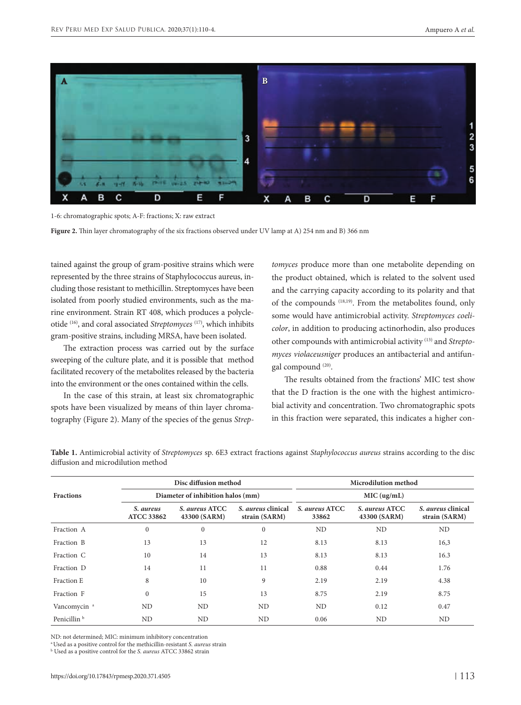

1-6: chromatographic spots; A-F: fractions; X: raw extract

**Figure 2.** Thin layer chromatography of the six fractions observed under UV lamp at A) 254 nm and B) 366 nm

tained against the group of gram-positive strains which were represented by the three strains of Staphylococcus aureus, including those resistant to methicillin. Streptomyces have been isolated from poorly studied environments, such as the marine environment. Strain RT 408, which produces a polycleotide (16), and coral associated *Streptomyces* (17), which inhibits gram-positive strains, including MRSA, have been isolated.

The extraction process was carried out by the surface sweeping of the culture plate, and it is possible that method facilitated recovery of the metabolites released by the bacteria into the environment or the ones contained within the cells.

In the case of this strain, at least six chromatographic spots have been visualized by means of thin layer chromatography (Figure 2). Many of the species of the genus *Strep-*

*tomyces* produce more than one metabolite depending on the product obtained, which is related to the solvent used and the carrying capacity according to its polarity and that of the compounds (18,19). From the metabolites found, only some would have antimicrobial activity. *Streptomyces coelicolor*, in addition to producing actinorhodin, also produces other compounds with antimicrobial activity (13) and *Streptomyces violaceusniger* produces an antibacterial and antifungal compound (20).

The results obtained from the fractions' MIC test show that the D fraction is the one with the highest antimicrobial activity and concentration. Two chromatographic spots in this fraction were separated, this indicates a higher con-

|                         | Disc diffusion method<br>Diameter of inhibition halos (mm) |                                |                                            | Microdilution method<br>MIC (ug/mL) |                                |                                            |
|-------------------------|------------------------------------------------------------|--------------------------------|--------------------------------------------|-------------------------------------|--------------------------------|--------------------------------------------|
| <b>Fractions</b>        |                                                            |                                |                                            |                                     |                                |                                            |
|                         | S. aureus<br><b>ATCC 33862</b>                             | S. aureus ATCC<br>43300 (SARM) | S. <i>aureus</i> clinical<br>strain (SARM) | S. aureus ATCC<br>33862             | S. aureus ATCC<br>43300 (SARM) | S. <i>aureus</i> clinical<br>strain (SARM) |
| Fraction A              | $\mathbf{0}$                                               | $\mathbf{0}$                   | $\mathbf{0}$                               | ND                                  | ND                             | ND                                         |
| Fraction B              | 13                                                         | 13                             | 12                                         | 8.13                                | 8.13                           | 16,3                                       |
| Fraction C              | 10                                                         | 14                             | 13                                         | 8.13                                | 8.13                           | 16.3                                       |
| Fraction D              | 14                                                         | 11                             | 11                                         | 0.88                                | 0.44                           | 1.76                                       |
| Fraction E              | 8                                                          | 10                             | 9                                          | 2.19                                | 2.19                           | 4.38                                       |
| Fraction F              | $\Omega$                                                   | 15                             | 13                                         | 8.75                                | 2.19                           | 8.75                                       |
| Vancomycin <sup>a</sup> | ND                                                         | ND                             | <b>ND</b>                                  | ND                                  | 0.12                           | 0.47                                       |
| Penicillin <sup>b</sup> | ND                                                         | ND                             | ND                                         | 0.06                                | ND                             | ND                                         |

**Table 1.** Antimicrobial activity of *Streptomyces* sp. 6E3 extract fractions against *Staphylococcus aureus* strains according to the disc diffusion and microdilution method

ND: not determined; MIC: minimum inhibitory concentration

a Used as a positive control for the methicillin-resistant *S. aureus* strain

b Used as a positive control for the *S. aureus* ATCC 33862 strain